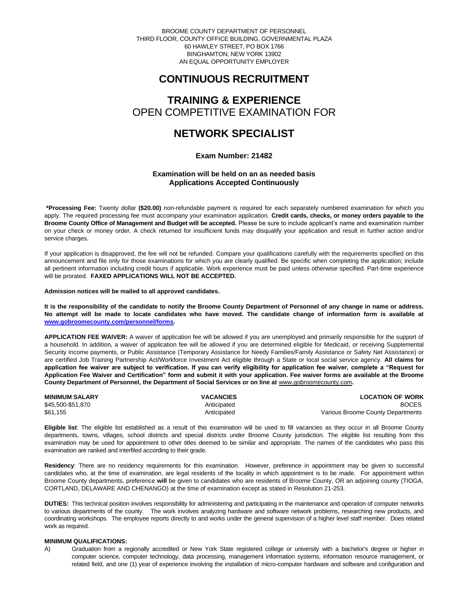BROOME COUNTY DEPARTMENT OF PERSONNEL THIRD FLOOR, COUNTY OFFICE BUILDING, GOVERNMENTAL PLAZA 60 HAWLEY STREET, PO BOX 1766 BINGHAMTON, NEW YORK 13902 AN EQUAL OPPORTUNITY EMPLOYER

# **CONTINUOUS RECRUITMENT**

# **TRAINING & EXPERIENCE** OPEN COMPETITIVE EXAMINATION FOR

# **NETWORK SPECIALIST**

# **Exam Number: 21482**

# **Examination will be held on an as needed basis Applications Accepted Continuously**

**\*Processing Fee:** Twenty dollar **(\$20.00)** non-refundable payment is required for each separately numbered examination for which you apply. The required processing fee must accompany your examination application. **Credit cards, checks, or money orders payable to the Broome County Office of Management and Budget will be accepted.** Please be sure to include applicant's name and examination number on your check or money order. A check returned for insufficient funds may disqualify your application and result in further action and/or service charges.

If your application is disapproved, the fee will not be refunded. Compare your qualifications carefully with the requirements specified on this announcement and file only for those examinations for which you are clearly qualified. Be specific when completing the application; include all pertinent information including credit hours if applicable. Work experience must be paid unless otherwise specified. Part-time experience will be prorated. **FAXED APPLICATIONS WILL NOT BE ACCEPTED.** 

**Admission notices will be mailed to all approved candidates.** 

**It is the responsibility of the candidate to notify the Broome County Department of Personnel of any change in name or address. No attempt will be made to locate candidates who have moved. The candidate change of information form is available at [www.gobroomecounty.com/personnel/forms.](http://www.gobroomecounty.com/personnel/forms)** 

**APPLICATION FEE WAIVER:** A waiver of application fee will be allowed if you are unemployed and primarily responsible for the support of a household. In addition, a waiver of application fee will be allowed if you are determined eligible for Medicaid, or receiving Supplemental Security Income payments, or Public Assistance (Temporary Assistance for Needy Families/Family Assistance or Safety Net Assistance) or are certified Job Training Partnership Act/Workforce Investment Act eligible through a State or local social service agency. **All claims for application fee waiver are subject to verification. If you can verify eligibility for application fee waiver, complete a "Request for Application Fee Waiver and Certification" form and submit it with your application. Fee waiver forms are available at the Broome County Department of Personnel, the Department of Social Services or on line at** www.gobroomecounty.com**.** 

| <b>MINIMUM SALARY</b> | <b>VACANCIES</b> | <b>LOCATION OF WORK</b>           |
|-----------------------|------------------|-----------------------------------|
| \$45.500-\$51.870     | Anticipated      | <b>BOCES</b>                      |
| \$61,155              | Anticipated      | Various Broome County Departments |

**Eligible list**: The eligible list established as a result of this examination will be used to fill vacancies as they occur in all Broome County departments, towns, villages, school districts and special districts under Broome County jurisdiction. The eligible list resulting from this examination may be used for appointment to other titles deemed to be similar and appropriate. The names of the candidates who pass this examination are ranked and interfiled according to their grade.

**Residency**: There are no residency requirements for this examination. However, preference in appointment may be given to successful candidates who, at the time of examination, are legal residents of the locality in which appointment is to be made. For appointment within Broome County departments, preference **will** be given to candidates who are residents of Broome County, OR an adjoining county (TIOGA, CORTLAND, DELAWARE AND CHENANGO) at the time of examination except as stated in Resolution 21-253.

**DUTIES:** This technical position involves responsibility for administering and participating in the maintenance and operation of computer networks to various departments of the county. The work involves analyzing hardware and software network problems, researching new products, and coordinating workshops. The employee reports directly to and works under the general supervision of a higher level staff member. Does related work as required.

# **MINIMUM QUALIFICATIONS:**

A) Graduation from a regionally accredited or New York State registered college or university with a bachelor's degree or higher in computer science, computer technology, data processing, management information systems, information resource management, or related field, and one (1) year of experience involving the installation of micro-computer hardware and software and configuration and